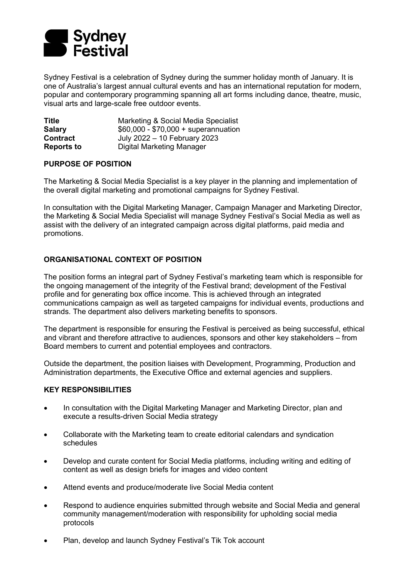

Sydney Festival is a celebration of Sydney during the summer holiday month of January. It is one of Australia's largest annual cultural events and has an international reputation for modern, popular and contemporary programming spanning all art forms including dance, theatre, music, visual arts and large-scale free outdoor events.

| Title             | Marketing & Social Media Specialist  |
|-------------------|--------------------------------------|
| <b>Salary</b>     | $$60,000 - $70,000 + superannuation$ |
| <b>Contract</b>   | July 2022 - 10 February 2023         |
| <b>Reports to</b> | Digital Marketing Manager            |

## **PURPOSE OF POSITION**

The Marketing & Social Media Specialist is a key player in the planning and implementation of the overall digital marketing and promotional campaigns for Sydney Festival.

In consultation with the Digital Marketing Manager, Campaign Manager and Marketing Director, the Marketing & Social Media Specialist will manage Sydney Festival's Social Media as well as assist with the delivery of an integrated campaign across digital platforms, paid media and promotions.

# **ORGANISATIONAL CONTEXT OF POSITION**

The position forms an integral part of Sydney Festival's marketing team which is responsible for the ongoing management of the integrity of the Festival brand; development of the Festival profile and for generating box office income. This is achieved through an integrated communications campaign as well as targeted campaigns for individual events, productions and strands. The department also delivers marketing benefits to sponsors.

The department is responsible for ensuring the Festival is perceived as being successful, ethical and vibrant and therefore attractive to audiences, sponsors and other key stakeholders – from Board members to current and potential employees and contractors.

Outside the department, the position liaises with Development, Programming, Production and Administration departments, the Executive Office and external agencies and suppliers.

## **KEY RESPONSIBILITIES**

- In consultation with the Digital Marketing Manager and Marketing Director, plan and execute a results-driven Social Media strategy
- Collaborate with the Marketing team to create editorial calendars and syndication schedules
- Develop and curate content for Social Media platforms, including writing and editing of content as well as design briefs for images and video content
- Attend events and produce/moderate live Social Media content
- Respond to audience enquiries submitted through website and Social Media and general community management/moderation with responsibility for upholding social media protocols
- Plan, develop and launch Sydney Festival's Tik Tok account